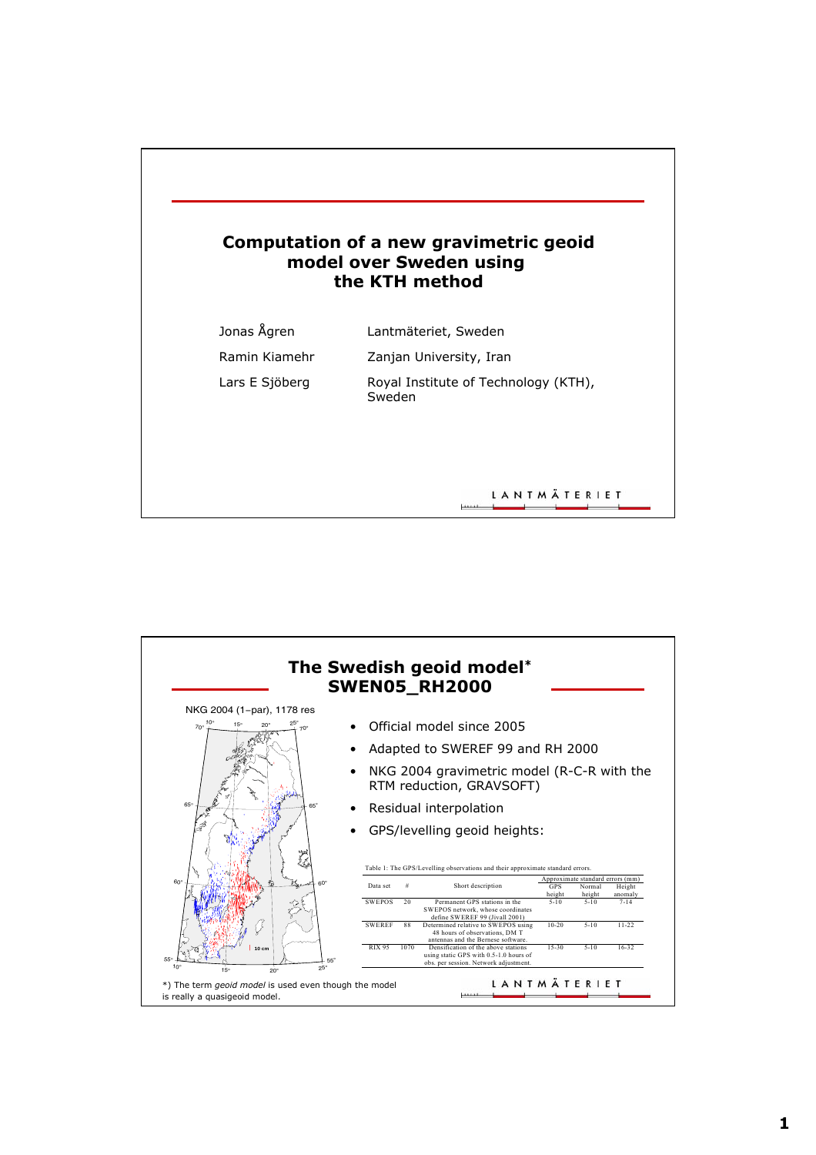

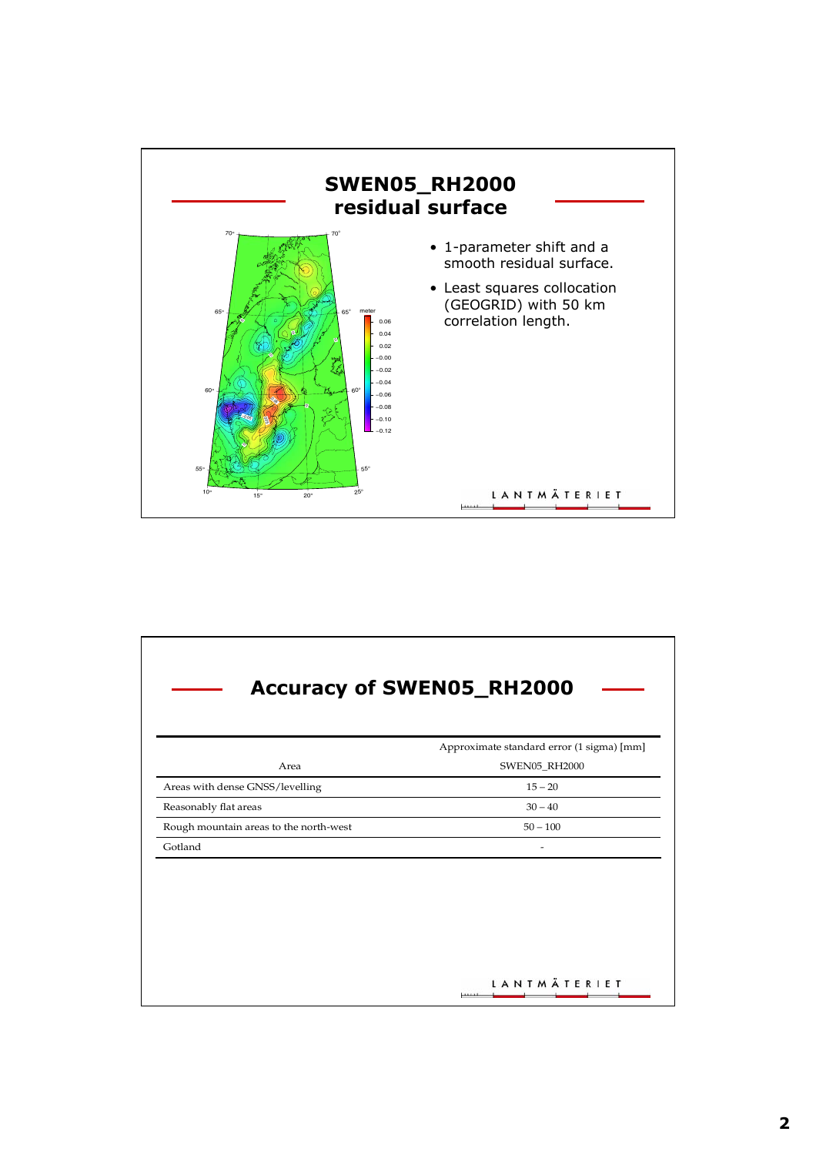

| <b>Accuracy of SWEN05_RH2000</b>          |  |
|-------------------------------------------|--|
| Approximate standard error (1 sigma) [mm] |  |
| SWEN05_RH2000                             |  |
| $15 - 20$                                 |  |
| $30 - 40$                                 |  |
| $50 - 100$                                |  |
| ۰                                         |  |
| LANTMÄTERIET                              |  |
|                                           |  |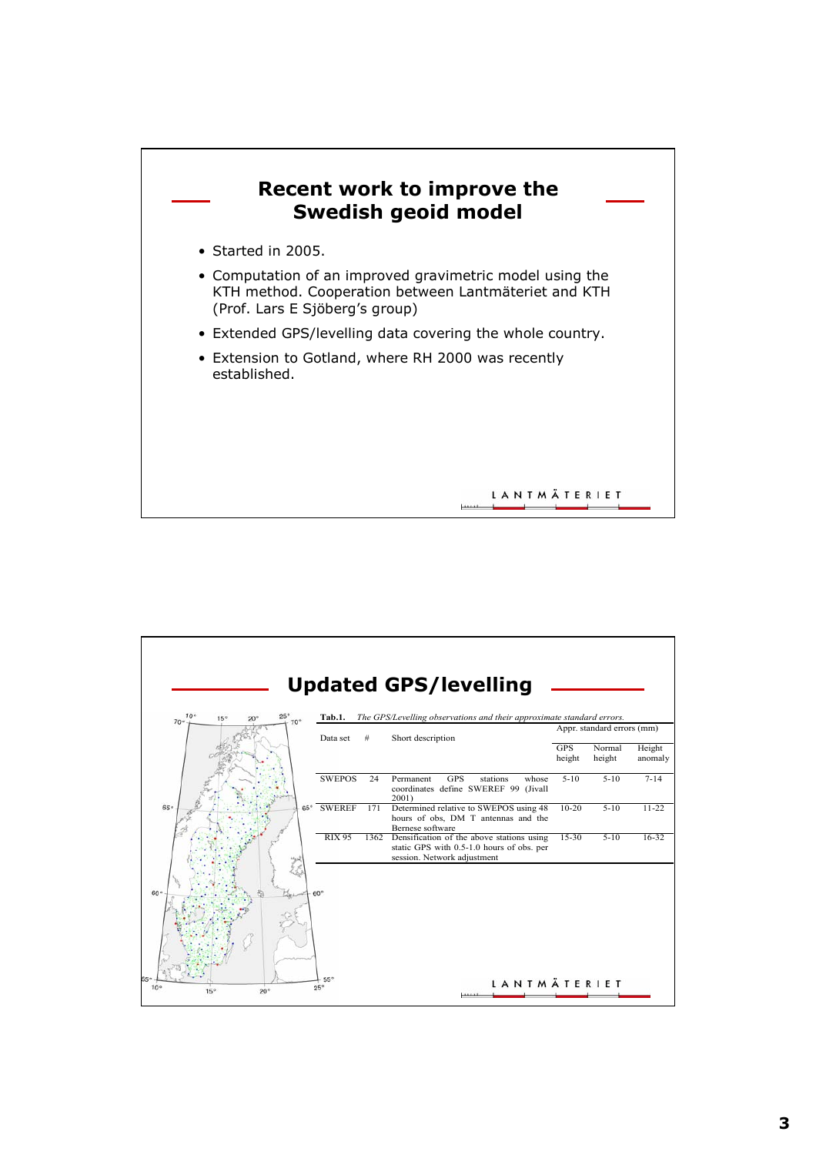

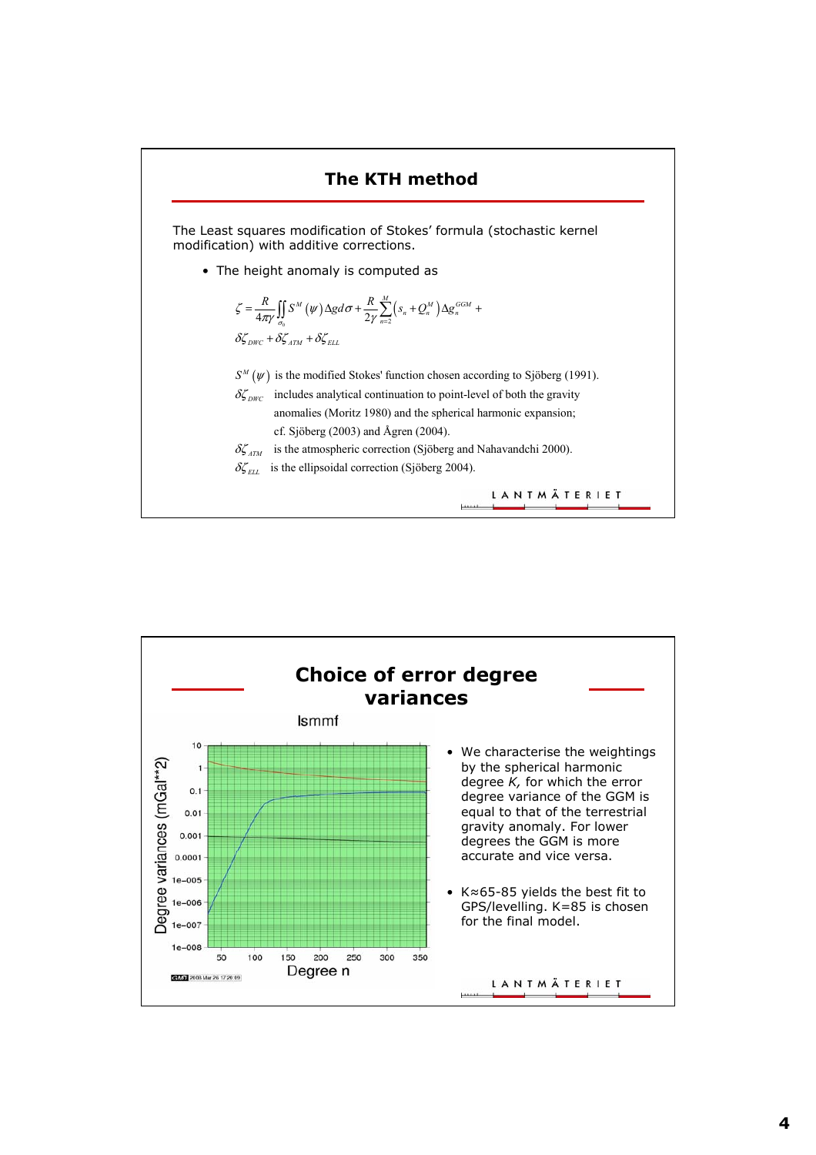

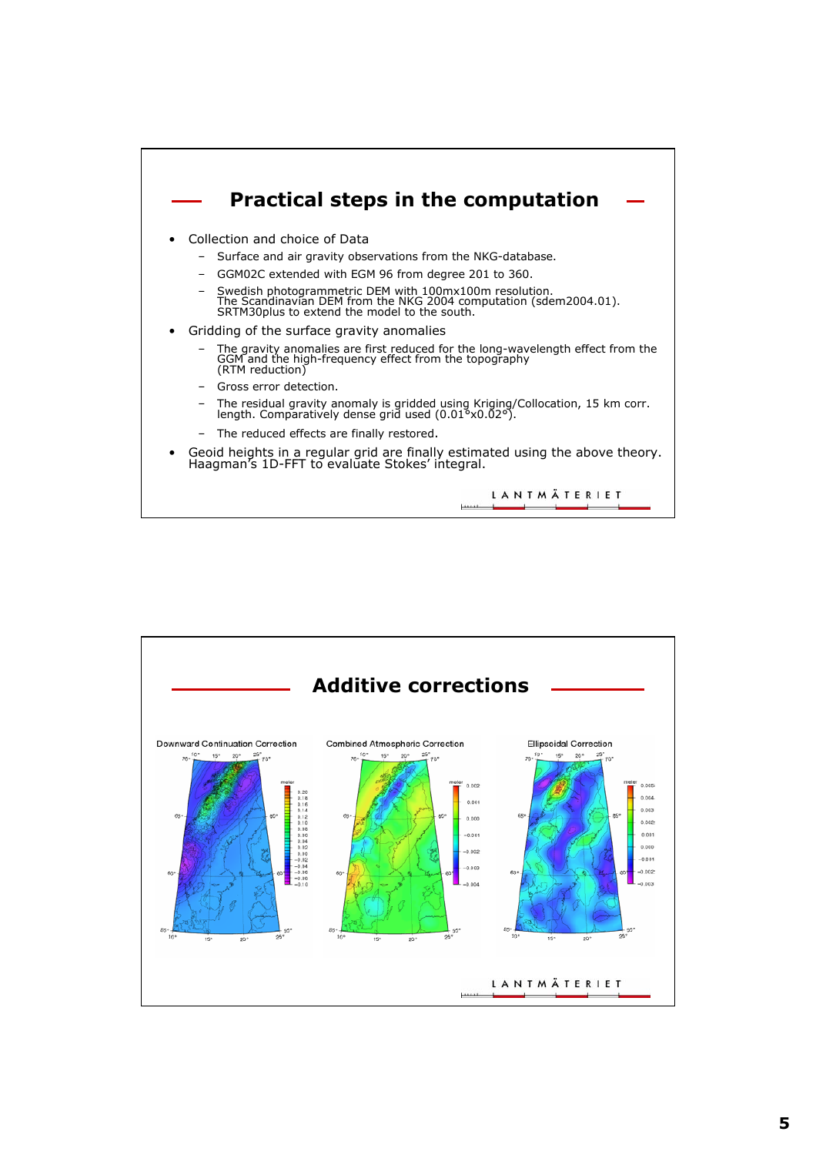